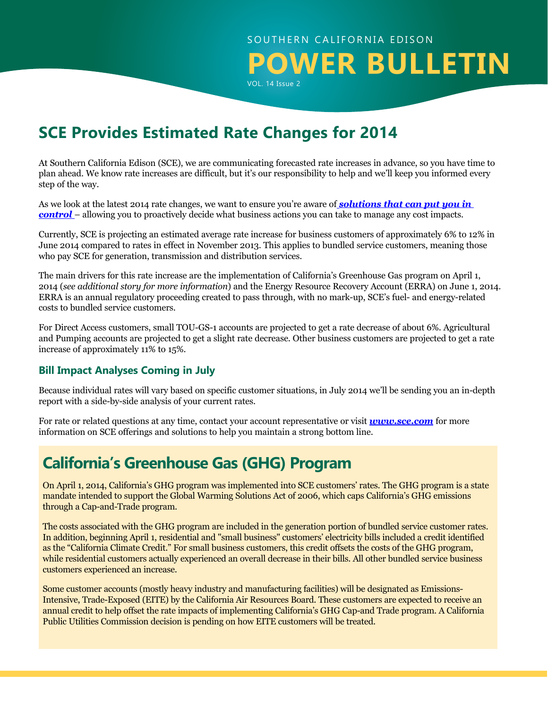# SOUTHERN CALIFORNIA EDISON **POWER BULLETIN**

VOL. 14 Issue 2

# **SCE Provides Estimated Rate Changes for 2014**

At Southern California Edison (SCE), we are communicating forecasted rate increases in advance, so you have time to plan ahead. We know rate increases are difficult, but it's our responsibility to help and we'll keep you informed every step of the way.

As we look at the latest 2014 rate changes, we want to ensure you're aware of *[solutions that can put you in](https://www.sce.com/wps/portal/home/business/savings-incentives/!ut/p/b1/pZNLc4IwFIV_SxcuM7lAgGQJU4uo1SqOVTYMj4RiNepAbfvvGx8zHZ0qWrPKndx8OTk5wSGe4FDGmyKPq2Ip4_m2Dq1Io57T8gPwaXdsg-96wWD8MgbHBPyKQxymslpVb3hapjxKl7Lisoq4bMBh3oDkoywkL8sGlIou8xIVMlUrxYaXW8AqznnGyyKXuyotMjxlAIagDBAYlCOSWQmKhU6RbUKWWSYTGsuUvqnSB2eGA8fyvaGtg98eN7t9V9OB6If9Fxpqrh9wubegRsWugXnQbLX76pjRwADfGEAvcBwDwMJTpcM-q6Oj4eDXGCooYZlBETWJQMTOBGJU4yhhuiVimpg6SeqA5F5g3_RAWdH0Os_uCJh9O7B9xdsUs_U6dFTAtkH6qvCkNmGnOk-erHvk5FURuww07buBw8GjAhpW03KfQAvIzcB2XUr_5eSff3W1WNCZ6HTJu-j1UJxQMMz5ZrGI9tX3p_Pw8AN46vQ4/dl4/d5/L2dBISEvZ0FBIS9nQSEh/)  [control](https://www.sce.com/wps/portal/home/business/savings-incentives/!ut/p/b1/pZNLc4IwFIV_SxcuM7lAgGQJU4uo1SqOVTYMj4RiNepAbfvvGx8zHZ0qWrPKndx8OTk5wSGe4FDGmyKPq2Ip4_m2Dq1Io57T8gPwaXdsg-96wWD8MgbHBPyKQxymslpVb3hapjxKl7Lisoq4bMBh3oDkoywkL8sGlIou8xIVMlUrxYaXW8AqznnGyyKXuyotMjxlAIagDBAYlCOSWQmKhU6RbUKWWSYTGsuUvqnSB2eGA8fyvaGtg98eN7t9V9OB6If9Fxpqrh9wubegRsWugXnQbLX76pjRwADfGEAvcBwDwMJTpcM-q6Oj4eDXGCooYZlBETWJQMTOBGJU4yhhuiVimpg6SeqA5F5g3_RAWdH0Os_uCJh9O7B9xdsUs_U6dFTAtkH6qvCkNmGnOk-erHvk5FURuww07buBw8GjAhpW03KfQAvIzcB2XUr_5eSff3W1WNCZ6HTJu-j1UJxQMMz5ZrGI9tX3p_Pw8AN46vQ4/dl4/d5/L2dBISEvZ0FBIS9nQSEh/)* – allowing you to proactively decide what business actions you can take to manage any cost impacts.

Currently, SCE is projecting an estimated average rate increase for business customers of approximately 6% to 12% in June 2014 compared to rates in effect in November 2013. This applies to bundled service customers, meaning those who pay SCE for generation, transmission and distribution services.

The main drivers for this rate increase are the implementation of California's Greenhouse Gas program on April 1, 2014 (*see additional story for more information*) and the Energy Resource Recovery Account (ERRA) on June 1, 2014. ERRA is an annual regulatory proceeding created to pass through, with no mark-up, SCE's fuel- and energy-related costs to bundled service customers.

For Direct Access customers, small TOU-GS-1 accounts are projected to get a rate decrease of about 6%. Agricultural and Pumping accounts are projected to get a slight rate decrease. Other business customers are projected to get a rate increase of approximately 11% to 15%.

#### **Bill Impact Analyses Coming in July**

Because individual rates will vary based on specific customer situations, in July 2014 we'll be sending you an in-depth report with a side-by-side analysis of your current rates.

For rate or related questions at any time, contact your account representative or visit *[www.sce.com](http://www.sce.com)* for more information on SCE offerings and solutions to help you maintain a strong bottom line.

## **California's Greenhouse Gas (GHG) Program**

On April 1, 2014, California's GHG program was implemented into SCE customers' rates. The GHG program is a state mandate intended to support the Global Warming Solutions Act of 2006, which caps California's GHG emissions through a Cap-and-Trade program.

The costs associated with the GHG program are included in the generation portion of bundled service customer rates. In addition, beginning April 1, residential and "small business" customers' electricity bills included a credit identified as the "California Climate Credit." For small business customers, this credit offsets the costs of the GHG program, while residential customers actually experienced an overall decrease in their bills. All other bundled service business customers experienced an increase.

Some customer accounts (mostly heavy industry and manufacturing facilities) will be designated as Emissions-Intensive, Trade-Exposed (EITE) by the California Air Resources Board. These customers are expected to receive an annual credit to help offset the rate impacts of implementing California's GHG Cap-and Trade program. A California Public Utilities Commission decision is pending on how EITE customers will be treated.